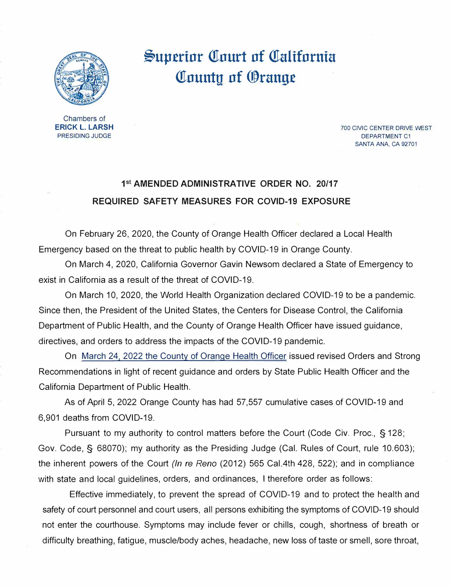

## **§up.erinr Qrnurt nf Qralifnrnia Qrnuntu nf ®rang.e**

Chambers of **ERICK** L. **LARSH**  PRESIDING JUDGE

700 CIVIC CENTER DRIVE WEST DEPARTMENT C1 SANTA ANA, CA 92701

## **1 st AMENDED ADMINISTRATIVE ORDER NO. 20/17 REQUIRED SAFETY MEASURES FOR COVID-19 EXPOSURE**

On February 26, 2020, the County of Orange Health Officer declared a Local Health Emergency based on the threat to public health by COVI0-19 in Orange County.

On March 4, 2020, California Governor Gavin Newsom declared a State of Emergency to exist in California as a result of the threat of COVID-19.

On March 10, 2020, the World Health Organization declared COVID-19 to be a pandemic. Since then, the President of the United States, the Centers for Disease Control, the California Department of Public Health, and the County of Orange Health Officer have issued guidance, directives, and orders to address the impacts of the COVID-19 pandemic.

On [March 24, 2022 the County of Orange Health Officer](https://occovid19.ochealthinfo.com/article/oc-health-officers-orders-recommendations) issued revised Orders and Strong Recommendations in light of recent guidance and orders by State Public Health Officer and the California Department of Public Health.

As of April 5, 2022 Orange County has had 57,557 cumulative cases of COVID-19 and 6,901 deaths from COVID-19.

Pursuant to my authority to control matters before the Court (Code Civ. Proc., § 128; Gov. Code, § 68070); my authority as the Presiding Judge (Cal. Rules of Court, rule 10.603); the inherent powers of the Court *(In re Reno* (2012) 565 Cal.4th 428, 522); and in compliance with state and local guidelines, orders, and ordinances, I therefore order as follows:

Effective immediately, to prevent the spread of COVID-19 and to protect the health and safety of court personnel and court users, all persons exhibiting the symptoms of COVID-19 should not enter the courthouse. Symptoms may include fever or chills, cough, shortness of breath or difficulty breathing, fatigue, muscle/body aches, headache, new loss of taste or smell, sore throat,